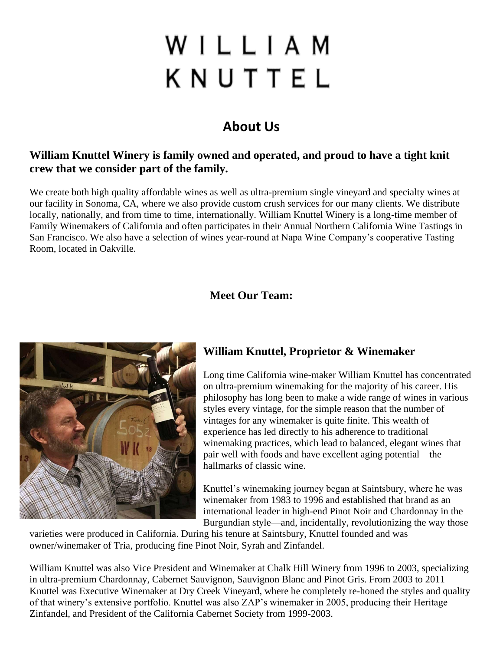# WILLIAM KNUTTEL

# **About Us**

#### **William Knuttel Winery is family owned and operated, and proud to have a tight knit crew that we consider part of the family.**

We create both high quality affordable wines as well as ultra-premium single vineyard and specialty wines at our facility in Sonoma, CA, where we also provide custom crush services for our many clients. We distribute locally, nationally, and from time to time, internationally. William Knuttel Winery is a long-time member of Family Winemakers of California and often participates in their Annual Northern California Wine Tastings in San Francisco. We also have a selection of wines year-round at Napa Wine Company's cooperative Tasting Room, located in Oakville.

#### **Meet Our Team:**



## **William Knuttel, Proprietor & Winemaker**

Long time California wine-maker William Knuttel has concentrated on ultra-premium winemaking for the majority of his career. His philosophy has long been to make a wide range of wines in various styles every vintage, for the simple reason that the number of vintages for any winemaker is quite finite. This wealth of experience has led directly to his adherence to traditional winemaking practices, which lead to balanced, elegant wines that pair well with foods and have excellent aging potential—the hallmarks of classic wine.

Knuttel's winemaking journey began at Saintsbury, where he was winemaker from 1983 to 1996 and established that brand as an international leader in high-end Pinot Noir and Chardonnay in the Burgundian style—and, incidentally, revolutionizing the way those

varieties were produced in California. During his tenure at Saintsbury, Knuttel founded and was owner/winemaker of Tria, producing fine Pinot Noir, Syrah and Zinfandel.

William Knuttel was also Vice President and Winemaker at Chalk Hill Winery from 1996 to 2003, specializing in ultra-premium Chardonnay, Cabernet Sauvignon, Sauvignon Blanc and Pinot Gris. From 2003 to 2011 Knuttel was Executive Winemaker at Dry Creek Vineyard, where he completely re-honed the styles and quality of that winery's extensive portfolio. Knuttel was also ZAP's winemaker in 2005, producing their Heritage Zinfandel, and President of the California Cabernet Society from 1999-2003.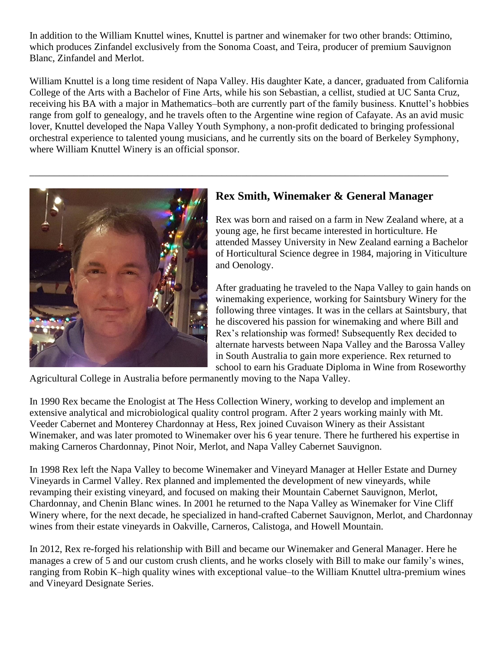In addition to the William Knuttel wines, Knuttel is partner and winemaker for two other brands: Ottimino, which produces Zinfandel exclusively from the Sonoma Coast, and Teira, producer of premium Sauvignon Blanc, Zinfandel and Merlot.

William Knuttel is a long time resident of Napa Valley. His daughter Kate, a dancer, graduated from California College of the Arts with a Bachelor of Fine Arts, while his son Sebastian, a cellist, studied at UC Santa Cruz, receiving his BA with a major in Mathematics–both are currently part of the family business. Knuttel's hobbies range from golf to genealogy, and he travels often to the Argentine wine region of Cafayate. As an avid music lover, Knuttel developed the Napa Valley Youth Symphony, a non-profit dedicated to bringing professional orchestral experience to talented young musicians, and he currently sits on the board of Berkeley Symphony, where William Knuttel Winery is an official sponsor.

\_\_\_\_\_\_\_\_\_\_\_\_\_\_\_\_\_\_\_\_\_\_\_\_\_\_\_\_\_\_\_\_\_\_\_\_\_\_\_\_\_\_\_\_\_\_\_\_\_\_\_\_\_\_\_\_\_\_\_\_\_\_\_\_\_\_\_\_\_\_\_\_\_\_\_\_\_\_\_\_\_\_\_\_\_



## **Rex Smith, Winemaker & General Manager**

Rex was born and raised on a farm in New Zealand where, at a young age, he first became interested in horticulture. He attended Massey University in New Zealand earning a Bachelor of Horticultural Science degree in 1984, majoring in Viticulture and Oenology.

After graduating he traveled to the Napa Valley to gain hands on winemaking experience, working for Saintsbury Winery for the following three vintages. It was in the cellars at Saintsbury, that he discovered his passion for winemaking and where Bill and Rex's relationship was formed! Subsequently Rex decided to alternate harvests between Napa Valley and the Barossa Valley in South Australia to gain more experience. Rex returned to school to earn his Graduate Diploma in Wine from Roseworthy

Agricultural College in Australia before permanently moving to the Napa Valley.

In 1990 Rex became the Enologist at The Hess Collection Winery, working to develop and implement an extensive analytical and microbiological quality control program. After 2 years working mainly with Mt. Veeder Cabernet and Monterey Chardonnay at Hess, Rex joined Cuvaison Winery as their Assistant Winemaker, and was later promoted to Winemaker over his 6 year tenure. There he furthered his expertise in making Carneros Chardonnay, Pinot Noir, Merlot, and Napa Valley Cabernet Sauvignon.

In 1998 Rex left the Napa Valley to become Winemaker and Vineyard Manager at Heller Estate and Durney Vineyards in Carmel Valley. Rex planned and implemented the development of new vineyards, while revamping their existing vineyard, and focused on making their Mountain Cabernet Sauvignon, Merlot, Chardonnay, and Chenin Blanc wines. In 2001 he returned to the Napa Valley as Winemaker for Vine Cliff Winery where, for the next decade, he specialized in hand-crafted Cabernet Sauvignon, Merlot, and Chardonnay wines from their estate vineyards in Oakville, Carneros, Calistoga, and Howell Mountain.

In 2012, Rex re-forged his relationship with Bill and became our Winemaker and General Manager. Here he manages a crew of 5 and our custom crush clients, and he works closely with Bill to make our family's wines, ranging from Robin K–high quality wines with exceptional value–to the William Knuttel ultra-premium wines and Vineyard Designate Series.